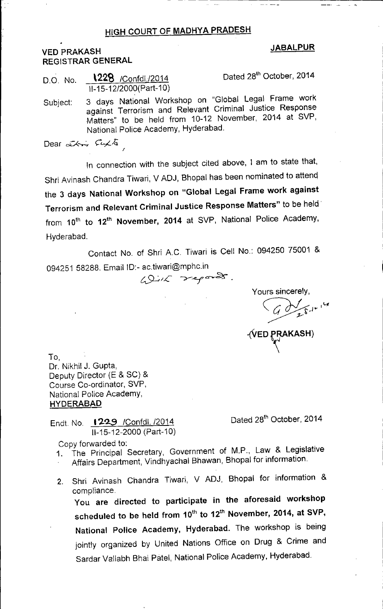## HIGH COURT OF MADHYA PRADESH

## VED PRAKASH REGISTRAR GENERAL

## JABALPUR

D.O. No. **\228** /Confdl./2014 Dated 28<sup>th</sup> October, 2014 11-15-12/2000(Part-10)

Subject: 3 days National Workshop on "Global Legal Frame work against Terrorism and Relevant Criminal Justice Response Matters" to be held from 10-12 November, 2014 at SVP, National Police Academy, Hyderabad.

Dear  $x \rightarrow \theta$ <sup>T</sup> *f*

In connection with the subject cited above, I am to state that, Shri Avinash Chandra Tiwari, V ADJ, Bhopal has been nominated to attenq the 3 days National Workshop on "Global Legal Frame work against Terrorism and Relevant Criminal Justice Response Matters" to be held' from 10<sup>th</sup> to 12<sup>th</sup> November, 2014 at SVP, National Police Academy, Hyderabad.

Contact No. of Shri A.C. Tiwari is Cell No.: 094250 75001 & 094251 58288. Email ID:- ac.tiwari@mphc.in

 $49.72$  reports.

Yours sincerely, ~\_, .. ,~ -{\tED rKASH)

To, Dr. Nikhil J. Gupta, Deputy Director (E & SC) & Course Co-ordinator, SVP, National Police Academy, HYDERABAD

Endt. No. 1229 / Confdl. /2014 Dated 28<sup>th</sup> October, 2014 11-15-12-2000 (Part-10)

- Copy forwarded to: 1. The Principal Secretary, Government of M.P., Law & Legislative Affairs Department, Vindhyachal Shawan, Bhopal for information.
- 
- 2. Shri Avinash Chandra Tiwari, V ADJ, Bhopal for information & compliance. You are directed to participate in the aforesaid workshop

scheduled to be held from 10<sup>th</sup> to 12<sup>th</sup> November, 2014, at SVP, National Police Academy, Hyderabad. The workshop is being jointly organized by United Nations Office on Drug & Crime and Sardar Vallabh Bhai Patel, National Police Academy, Hyderabad.